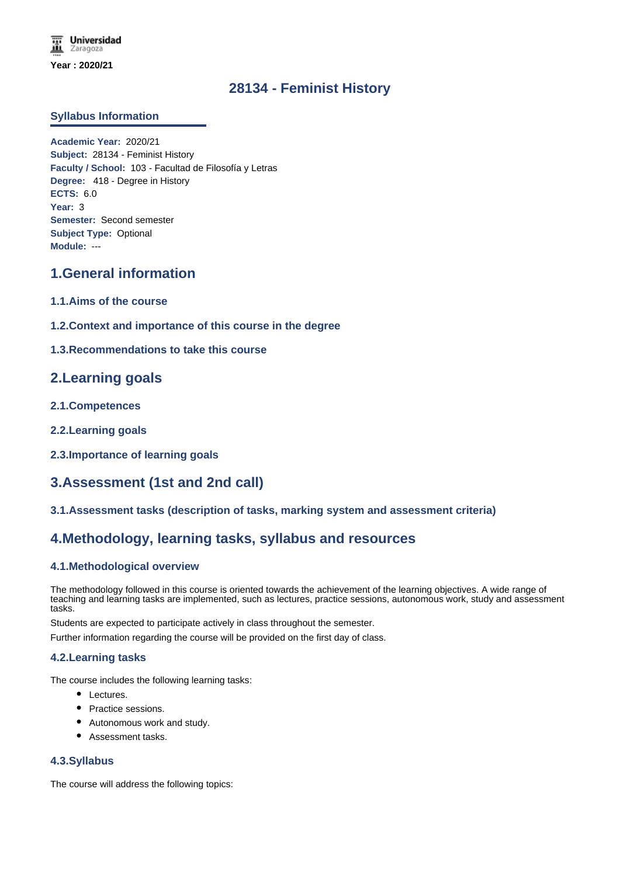# **28134 - Feminist History**

### **Syllabus Information**

**Academic Year:** 2020/21 **Subject:** 28134 - Feminist History **Faculty / School:** 103 - Facultad de Filosofía y Letras **Degree:** 418 - Degree in History **ECTS:** 6.0 **Year:** 3 **Semester:** Second semester **Subject Type:** Optional **Module:** ---

# **1.General information**

- **1.1.Aims of the course**
- **1.2.Context and importance of this course in the degree**
- **1.3.Recommendations to take this course**

# **2.Learning goals**

- **2.1.Competences**
- **2.2.Learning goals**
- **2.3.Importance of learning goals**

# **3.Assessment (1st and 2nd call)**

**3.1.Assessment tasks (description of tasks, marking system and assessment criteria)**

# **4.Methodology, learning tasks, syllabus and resources**

### **4.1.Methodological overview**

The methodology followed in this course is oriented towards the achievement of the learning objectives. A wide range of teaching and learning tasks are implemented, such as lectures, practice sessions, autonomous work, study and assessment tasks.

Students are expected to participate actively in class throughout the semester.

Further information regarding the course will be provided on the first day of class.

### **4.2.Learning tasks**

The course includes the following learning tasks:

- Lectures.
- Practice sessions.
- Autonomous work and study.
- Assessment tasks.

### **4.3.Syllabus**

The course will address the following topics: